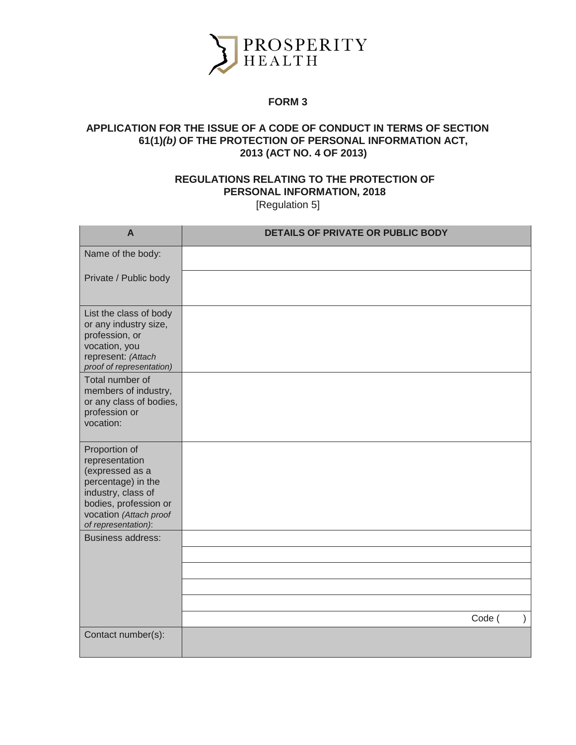

## **FORM 3**

## **APPLICATION FOR THE ISSUE OF A CODE OF CONDUCT IN TERMS OF SECTION 61(1)***(b)* **OF THE PROTECTION OF PERSONAL INFORMATION ACT, 2013 (ACT NO. 4 OF 2013)**

## **REGULATIONS RELATING TO THE PROTECTION OF PERSONAL INFORMATION, 2018** [Regulation 5]

| $\mathsf{A}$                                                                                                                                                             | <b>DETAILS OF PRIVATE OR PUBLIC BODY</b> |
|--------------------------------------------------------------------------------------------------------------------------------------------------------------------------|------------------------------------------|
| Name of the body:                                                                                                                                                        |                                          |
| Private / Public body                                                                                                                                                    |                                          |
| List the class of body<br>or any industry size,<br>profession, or<br>vocation, you<br>represent: (Attach<br>proof of representation)                                     |                                          |
| Total number of<br>members of industry,<br>or any class of bodies,<br>profession or<br>vocation:                                                                         |                                          |
| Proportion of<br>representation<br>(expressed as a<br>percentage) in the<br>industry, class of<br>bodies, profession or<br>vocation (Attach proof<br>of representation): |                                          |
| <b>Business address:</b>                                                                                                                                                 |                                          |
|                                                                                                                                                                          |                                          |
|                                                                                                                                                                          |                                          |
|                                                                                                                                                                          |                                          |
|                                                                                                                                                                          | Code (                                   |
| Contact number(s):                                                                                                                                                       |                                          |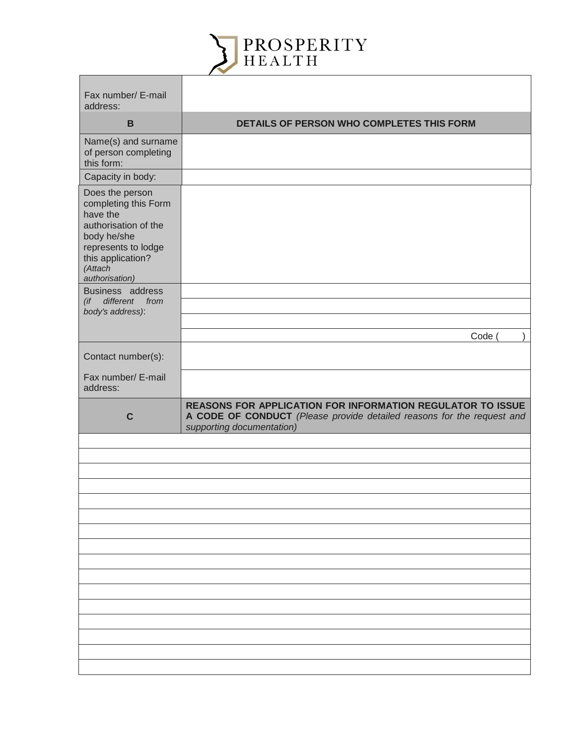

| Fax number/ E-mail<br>address:                                                                                                                                      |                                                                                                                                                                          |
|---------------------------------------------------------------------------------------------------------------------------------------------------------------------|--------------------------------------------------------------------------------------------------------------------------------------------------------------------------|
| B                                                                                                                                                                   | DETAILS OF PERSON WHO COMPLETES THIS FORM                                                                                                                                |
| Name(s) and surname<br>of person completing<br>this form:                                                                                                           |                                                                                                                                                                          |
| Capacity in body:                                                                                                                                                   |                                                                                                                                                                          |
| Does the person<br>completing this Form<br>have the<br>authorisation of the<br>body he/she<br>represents to lodge<br>this application?<br>(Attach<br>authorisation) |                                                                                                                                                                          |
| Business address<br>different from<br>(i f)                                                                                                                         |                                                                                                                                                                          |
| body's address):                                                                                                                                                    |                                                                                                                                                                          |
|                                                                                                                                                                     | Code (                                                                                                                                                                   |
| Contact number(s):                                                                                                                                                  |                                                                                                                                                                          |
| Fax number/ E-mail<br>address:                                                                                                                                      |                                                                                                                                                                          |
| $\mathbf C$                                                                                                                                                         | <b>REASONS FOR APPLICATION FOR INFORMATION REGULATOR TO ISSUE</b><br>A CODE OF CONDUCT (Please provide detailed reasons for the request and<br>supporting documentation) |
|                                                                                                                                                                     |                                                                                                                                                                          |
|                                                                                                                                                                     |                                                                                                                                                                          |
|                                                                                                                                                                     |                                                                                                                                                                          |
|                                                                                                                                                                     |                                                                                                                                                                          |
|                                                                                                                                                                     |                                                                                                                                                                          |
|                                                                                                                                                                     |                                                                                                                                                                          |
|                                                                                                                                                                     |                                                                                                                                                                          |
|                                                                                                                                                                     |                                                                                                                                                                          |
|                                                                                                                                                                     |                                                                                                                                                                          |
|                                                                                                                                                                     |                                                                                                                                                                          |
|                                                                                                                                                                     |                                                                                                                                                                          |
|                                                                                                                                                                     |                                                                                                                                                                          |
|                                                                                                                                                                     |                                                                                                                                                                          |